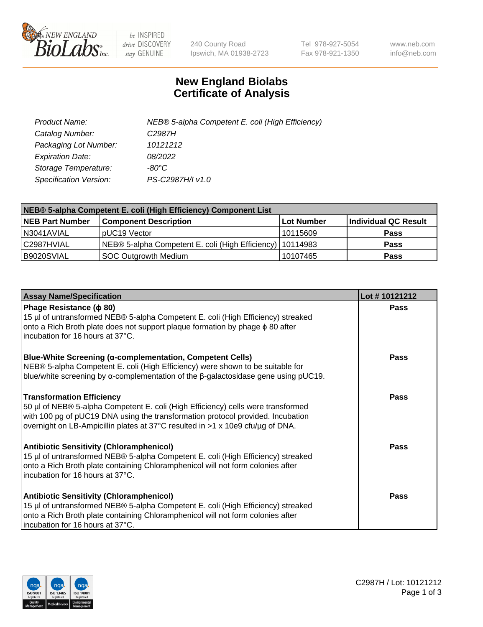

 $be$  INSPIRED drive DISCOVERY stay GENUINE

240 County Road Ipswich, MA 01938-2723 Tel 978-927-5054 Fax 978-921-1350 www.neb.com info@neb.com

## **New England Biolabs Certificate of Analysis**

| Product Name:           | NEB® 5-alpha Competent E. coli (High Efficiency) |
|-------------------------|--------------------------------------------------|
| Catalog Number:         | C <sub>2987</sub> H                              |
| Packaging Lot Number:   | 10121212                                         |
| <b>Expiration Date:</b> | 08/2022                                          |
| Storage Temperature:    | -80°C                                            |
| Specification Version:  | PS-C2987H/I v1.0                                 |

| NEB® 5-alpha Competent E. coli (High Efficiency) Component List |                                                             |            |                      |  |
|-----------------------------------------------------------------|-------------------------------------------------------------|------------|----------------------|--|
| <b>NEB Part Number</b>                                          | <b>Component Description</b>                                | Lot Number | Individual QC Result |  |
| N3041AVIAL                                                      | pUC19 Vector                                                | 10115609   | <b>Pass</b>          |  |
| C2987HVIAL                                                      | NEB® 5-alpha Competent E. coli (High Efficiency)   10114983 |            | <b>Pass</b>          |  |
| B9020SVIAL                                                      | <b>SOC Outgrowth Medium</b>                                 | 10107465   | <b>Pass</b>          |  |

| <b>Assay Name/Specification</b>                                                                                                                                                                                                                                                           | Lot #10121212 |
|-------------------------------------------------------------------------------------------------------------------------------------------------------------------------------------------------------------------------------------------------------------------------------------------|---------------|
| Phage Resistance ( $\phi$ 80)<br>15 µl of untransformed NEB® 5-alpha Competent E. coli (High Efficiency) streaked<br>onto a Rich Broth plate does not support plaque formation by phage $\phi$ 80 after<br>incubation for 16 hours at 37°C.                                               | Pass          |
| <b>Blue-White Screening (α-complementation, Competent Cells)</b><br>NEB® 5-alpha Competent E. coli (High Efficiency) were shown to be suitable for<br>blue/white screening by $\alpha$ -complementation of the $\beta$ -galactosidase gene using pUC19.                                   | Pass          |
| <b>Transformation Efficiency</b><br>50 µl of NEB® 5-alpha Competent E. coli (High Efficiency) cells were transformed<br>with 100 pg of pUC19 DNA using the transformation protocol provided. Incubation<br>overnight on LB-Ampicillin plates at 37°C resulted in >1 x 10e9 cfu/µg of DNA. | Pass          |
| <b>Antibiotic Sensitivity (Chloramphenicol)</b><br>15 µl of untransformed NEB® 5-alpha Competent E. coli (High Efficiency) streaked<br>onto a Rich Broth plate containing Chloramphenicol will not form colonies after<br>incubation for 16 hours at 37°C.                                | <b>Pass</b>   |
| <b>Antibiotic Sensitivity (Chloramphenicol)</b><br>15 µl of untransformed NEB® 5-alpha Competent E. coli (High Efficiency) streaked<br>onto a Rich Broth plate containing Chloramphenicol will not form colonies after<br>incubation for 16 hours at 37°C.                                | <b>Pass</b>   |

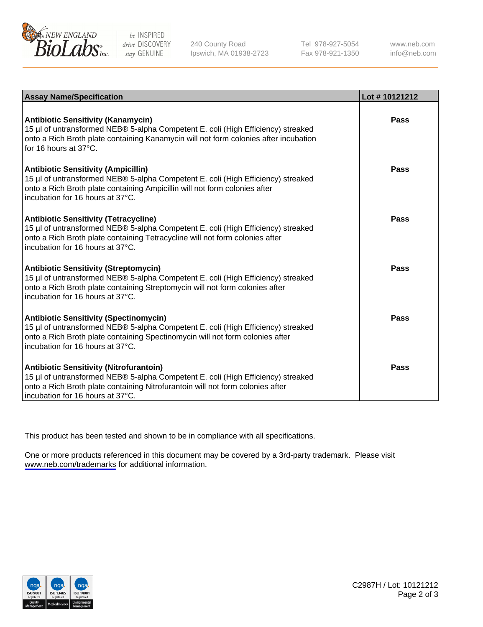

be INSPIRED drive DISCOVERY stay GENUINE

240 County Road Ipswich, MA 01938-2723 Tel 978-927-5054 Fax 978-921-1350

www.neb.com info@neb.com

| <b>Assay Name/Specification</b>                                                                                                                                                                                                                          | Lot #10121212 |
|----------------------------------------------------------------------------------------------------------------------------------------------------------------------------------------------------------------------------------------------------------|---------------|
| <b>Antibiotic Sensitivity (Kanamycin)</b><br>15 µl of untransformed NEB® 5-alpha Competent E. coli (High Efficiency) streaked<br>onto a Rich Broth plate containing Kanamycin will not form colonies after incubation<br>for 16 hours at $37^{\circ}$ C. | Pass          |
| <b>Antibiotic Sensitivity (Ampicillin)</b><br>15 µl of untransformed NEB® 5-alpha Competent E. coli (High Efficiency) streaked<br>onto a Rich Broth plate containing Ampicillin will not form colonies after<br>incubation for 16 hours at 37°C.         | Pass          |
| <b>Antibiotic Sensitivity (Tetracycline)</b><br>15 µl of untransformed NEB® 5-alpha Competent E. coli (High Efficiency) streaked<br>onto a Rich Broth plate containing Tetracycline will not form colonies after<br>incubation for 16 hours at 37°C.     | Pass          |
| <b>Antibiotic Sensitivity (Streptomycin)</b><br>15 µl of untransformed NEB® 5-alpha Competent E. coli (High Efficiency) streaked<br>onto a Rich Broth plate containing Streptomycin will not form colonies after<br>incubation for 16 hours at 37°C.     | Pass          |
| <b>Antibiotic Sensitivity (Spectinomycin)</b><br>15 µl of untransformed NEB® 5-alpha Competent E. coli (High Efficiency) streaked<br>onto a Rich Broth plate containing Spectinomycin will not form colonies after<br>incubation for 16 hours at 37°C.   | Pass          |
| <b>Antibiotic Sensitivity (Nitrofurantoin)</b><br>15 µl of untransformed NEB® 5-alpha Competent E. coli (High Efficiency) streaked<br>onto a Rich Broth plate containing Nitrofurantoin will not form colonies after<br>incubation for 16 hours at 37°C. | <b>Pass</b>   |

This product has been tested and shown to be in compliance with all specifications.

One or more products referenced in this document may be covered by a 3rd-party trademark. Please visit <www.neb.com/trademarks>for additional information.